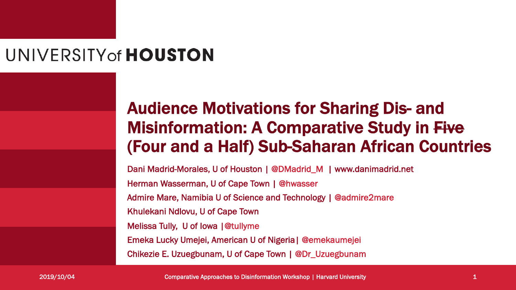### UNIVERSITY of **HOUSTON**

### Audience Motivations for Sharing Dis- and Misinformation: A Comparative Study in Five (Four and a Half) Sub-Saharan African Countries

Dani Madrid-Morales, U of Houston | @DMadrid\_M | www.danimadrid.net Herman Wasserman, U of Cape Town | @hwasser Admire Mare, Namibia U of Science and Technology | @admire2mare Khulekani Ndlovu, U of Cape Town Melissa Tully, U of Iowa |@tullyme Emeka Lucky Umejei, American U of Nigeria| @emekaumejei Chikezie E. Uzuegbunam, U of Cape Town | @Dr\_Uzuegbunam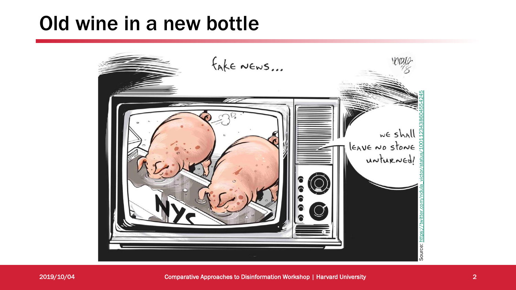### Old wine in a new bottle

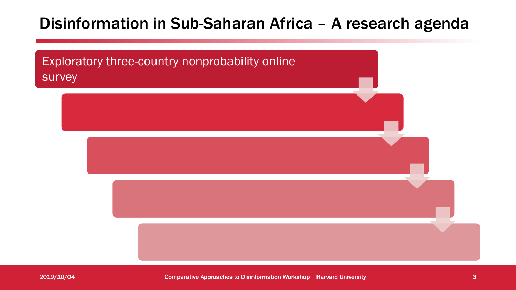### Disinformation in Sub-Saharan Africa – A research agenda

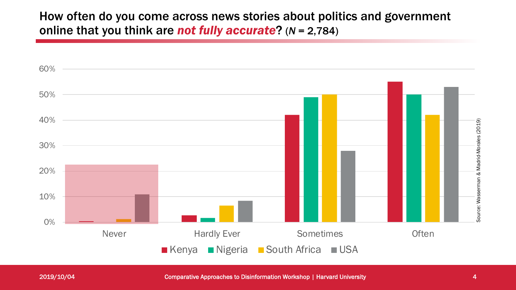How often do you come across news stories about politics and government online that you think are *not fully accurate*? (*N* = 2,784)

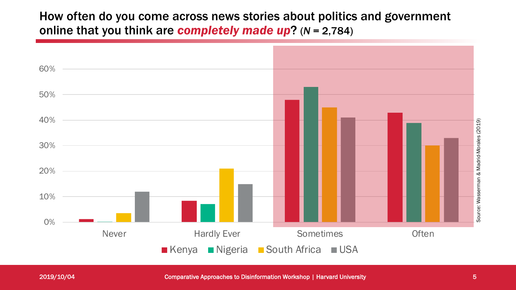How often do you come across news stories about politics and government online that you think are *completely made up*? (*N* = 2,784)

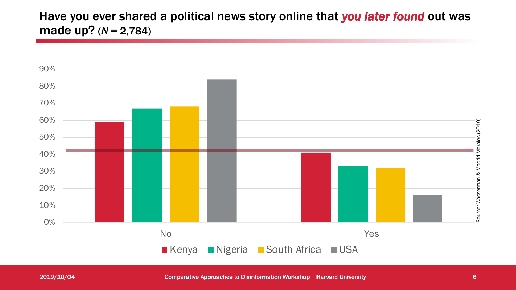### Have you ever shared a political news story online that *you later found* out was made up? (*N* = 2,784)

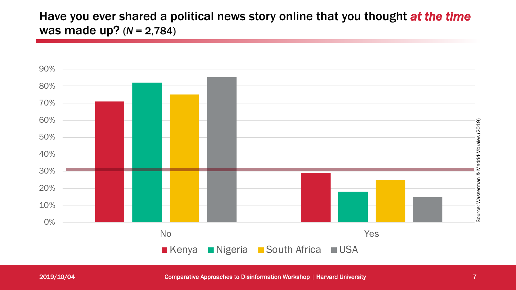### Have you ever shared a political news story online that you thought *at the time* was made up? (*N* = 2,784)

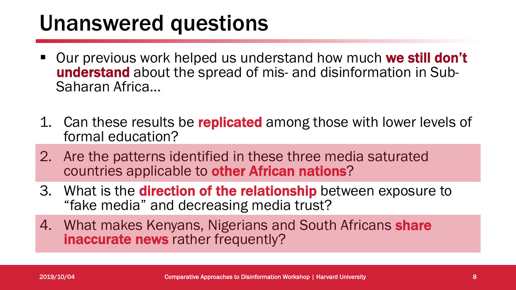### Unanswered questions

- Our previous work helped us understand how much we still don't understand about the spread of mis- and disinformation in Sub-<br>Saharan Africa...
- 1. Can these results be replicated among those with lower levels of formal education?
- 2. Are the patterns identified in these three media saturated countries applicable to other African nations?
- 3. What is the **direction of the relationship** between exposure to "fake media" and decreasing media trust?
- 4. What makes Kenyans, Nigerians and South Africans share inaccurate news rather frequently?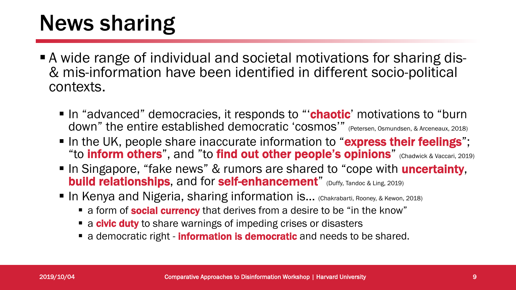## News sharing

- § A wide range of individual and societal motivations for sharing dis- & mis-information have been identified in different socio-political contexts.
	- In "advanced" democracies, it responds to "**chaotic**' motivations to "burn down" the entire established democratic 'cosmos'" (Petersen, Osmundsen, & Arceneaux, 2018)
	- In the UK, people share inaccurate information to "express their feelings"; "to inform others", and "to find out other people's opinions" (Chadwick & Vaccari, 2019)
	- In Singapore, "fake news" & rumors are shared to "cope with **uncertainty**, **build relationships**, and for **self-enhancement**" (Duffy, Tandoc & Ling, 2019)
	- In Kenya and Nigeria, sharing information is... (Chakrabarti, Rooney, & Kewon, 2018)
		- a form of **social currency** that derives from a desire to be "in the know"
		- **a civic duty** to share warnings of impeding crises or disasters
		- **•** a democratic right **information is democratic** and needs to be shared.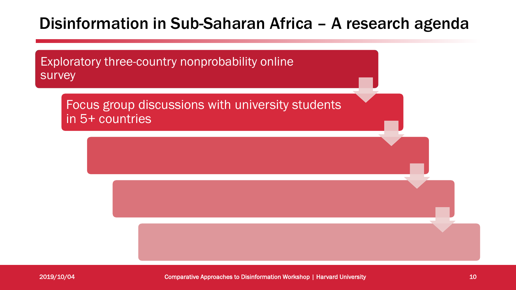### Disinformation in Sub-Saharan Africa – A research agenda

Exploratory three-country nonprobability online survey

Focus group discussions with university students in 5+ countries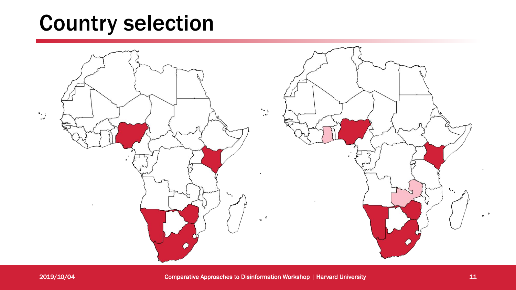### Country selection

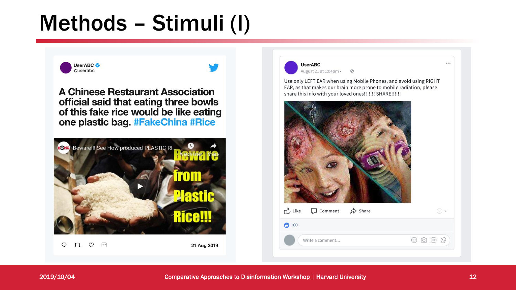## Methods – Stimuli (I)



 $\ddot{\phantom{a}}$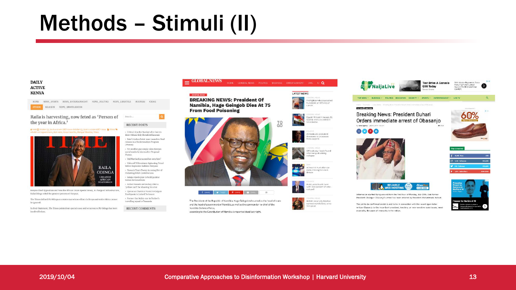### Methods – Stimuli (II)

Search.

 $(Dhotos)$ 

Phoras

**RECENT POSTS** 

» Critical time for Bandari after barren

Ruto's Luhya Point-man Launches Mud

draw with Al Ahly Shendi at Kasarani

Houses in a Modernisation Program

» Yet another gay couple takes Kenyan

social media by storm after Proposal

» Did Martha Karua seal her own fate? · Video of TZ Residents Siphoning Petrol Before Explosion Saddens Kenyans

Passaris Tears Tweep Accusing Her of

· Sakaja rejects plan to build palatial

Esther Passaris serves boy child a

· Uproat as Chemical Found In Colgate

» Former Gor Mahia star in Tusker's

**RECENT COMMENTS** 

'yellow card' for shooting his shot

Toothpaste is Linked To Cancer

travelling squad to Tanzania

Pocketing NASA Contributions

homes for Governors

#### **DAILY ACTIVE KENYA**

HOME NEWS\_SPORTS NEWS\_ENTERTAINMENT NEWS\_POLITICS NEWS\_LIFESTYLE BUSINESS CRIME

RELIGION NEWS SPORTS.SOCCER

#### Raila is harvesting, now feted as 'Person of the year in Africa.'

▲ http: 茴 October 23, 2018 11:12 am GMT+0000 October 33, 2018 11:12 am GMT+0000 ■ Others % #Railo's AU Annaintment, Bahi wine, Kassai kaseilm, Manaari Maathai, Times



Kenyan Chief Opposition and Now the African Union Special Envoy, in charge of Infrastructure, Ralla Odinga voted the greatest persona of the year.

The Times defined Mr Odinga as a statesman whose efforts in Kenya and entire Africa cannot be ignored.

In their Statement, The Times pointed out special cases and occurrences Mr Odinga has been involved before.



more

ai battle

ilm prize:

according to the Constitution of Namibia is reported dead last night.



**B** St

 $\circ$ 

 $\bullet$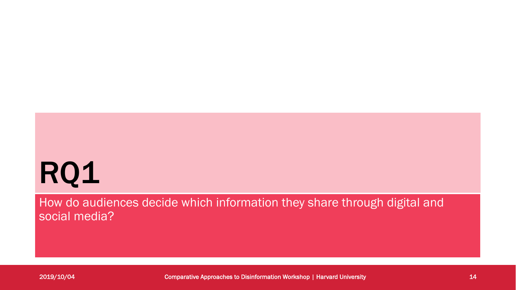# RQ1

How do audiences decide which information they share through digital and social media?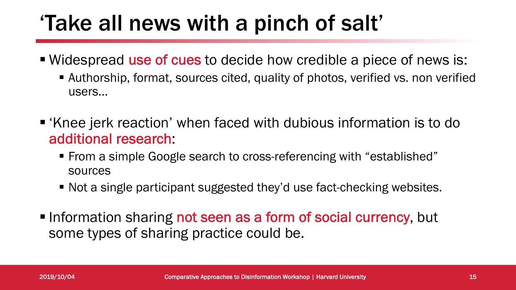## 'Take all news with a pinch of salt'

- Widespread use of cues to decide how credible a piece of news is:
	- Authorship, format, sources cited, quality of photos, verified vs. non verified users…
- 'Knee jerk reaction' when faced with dubious information is to do additional research:
	- From a simple Google search to cross-referencing with "established" sources
	- Not a single participant suggested they'd use fact-checking websites.
- Information sharing not seen as a form of social currency, but some types of sharing practice could be.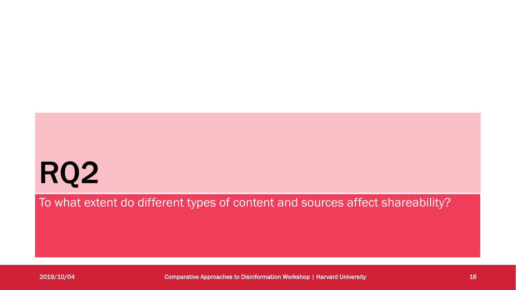# RQ2

To what extent do different types of content and sources affect shareability?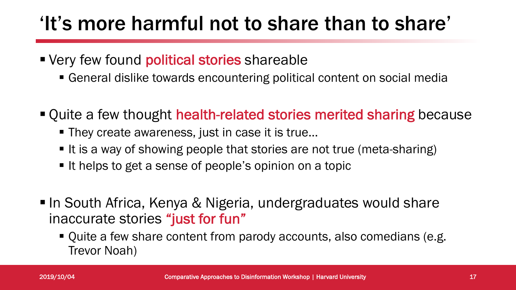### 'It's more harmful not to share than to share'

- Very few found political stories shareable
	- General dislike towards encountering political content on social media
- Quite a few thought health-related stories merited sharing because
	- They create awareness, just in case it is true...
	- It is a way of showing people that stories are not true (meta-sharing)
	- It helps to get a sense of people's opinion on a topic
- In South Africa, Kenya & Nigeria, undergraduates would share inaccurate stories "just for fun"
	- § Quite a few share content from parody accounts, also comedians (e.g. Trevor Noah)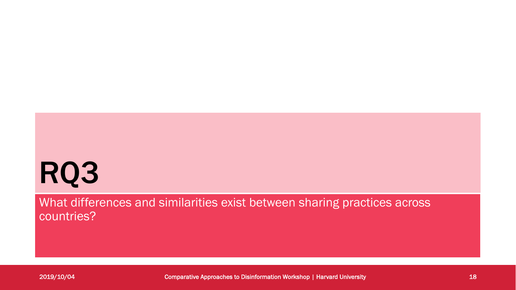# RQ3

What differences and similarities exist between sharing practices across countries?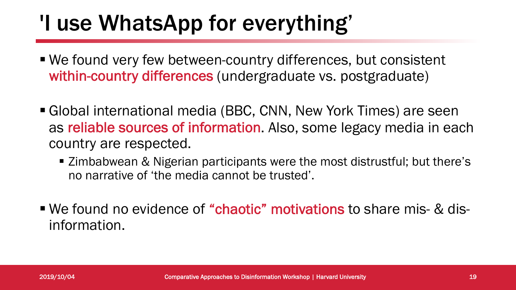## 'I use WhatsApp for everything'

- We found very few between-country differences, but consistent within-country differences (undergraduate vs. postgraduate)
- Global international media (BBC, CNN, New York Times) are seen as reliable sources of information. Also, some legacy media in each country are respected.
	- Zimbabwean & Nigerian participants were the most distrustful; but there's no narrative of 'the media cannot be trusted'.
- We found no evidence of "chaotic" motivations to share mis- & disinformation.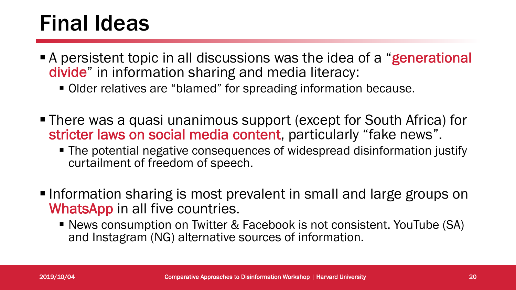## Final Ideas

- A persistent topic in all discussions was the idea of a "generational divide" in information sharing and media literacy:
	- Older relatives are "blamed" for spreading information because.
- There was a quasi unanimous support (except for South Africa) for stricter laws on social media content, particularly "fake news".
	- The potential negative consequences of widespread disinformation justify curtailment of freedom of speech.
- Information sharing is most prevalent in small and large groups on WhatsApp in all five countries.
	- News consumption on Twitter & Facebook is not consistent. YouTube (SA) and Instagram (NG) alternative sources of information.